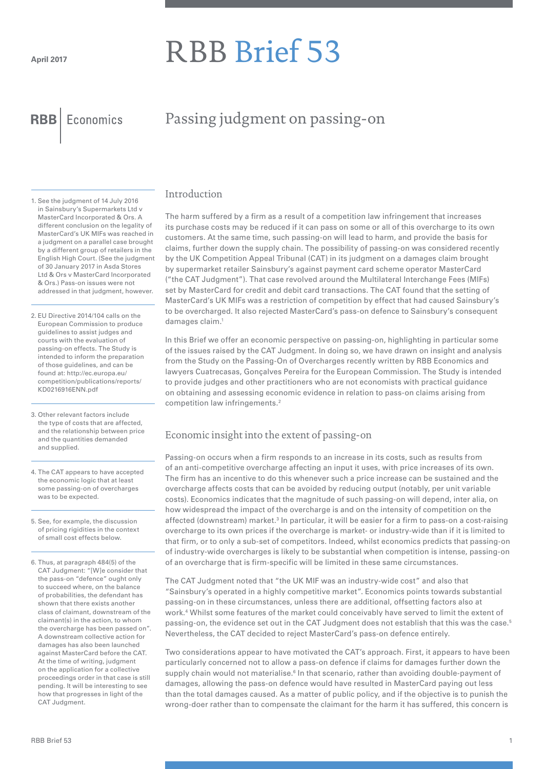# RBB Brief 53

**RBB** Economics

# Passing judgment on passing-on

1. See the judgment of 14 July 2016 in Sainsbury's Supermarkets Ltd v MasterCard Incorporated & Ors. A different conclusion on the legality of MasterCard's UK MIFs was reached in a judgment on a parallel case brought by a different group of retailers in the English High Court. (See the judgment of 30 January 2017 in Asda Stores Ltd & Ors v MasterCard Incorporated & Ors.) Pass-on issues were not addressed in that judgment, however.

2. EU Directive 2014/104 calls on the European Commission to produce guidelines to assist judges and courts with the evaluation of passing-on effects. The Study is intended to inform the preparation of those guidelines, and can be found at: http://ec.europa.eu/ competition/publications/reports/ KD0216916ENN.pdf

- 3. Other relevant factors include the type of costs that are affected, and the relationship between price and the quantities demanded and supplied.
- 4. The CAT appears to have accepted the economic logic that at least some passing-on of overcharges was to be expected.

5. See, for example, the discussion of pricing rigidities in the context of small cost effects below.

6. Thus, at paragraph 484(5) of the CAT Judgment: "[W]e consider that the pass-on "defence" ought only to succeed where, on the balance of probabilities, the defendant has shown that there exists another class of claimant, downstream of the claimant(s) in the action, to whom the overcharge has been passed on". A downstream collective action for damages has also been launched against MasterCard before the CAT. At the time of writing, judgment on the application for a collective proceedings order in that case is still pending. It will be interesting to see how that progresses in light of the CAT Judgment.

#### Introduction

The harm suffered by a firm as a result of a competition law infringement that increases its purchase costs may be reduced if it can pass on some or all of this overcharge to its own customers. At the same time, such passing-on will lead to harm, and provide the basis for claims, further down the supply chain. The possibility of passing-on was considered recently by the UK Competition Appeal Tribunal (CAT) in its judgment on a damages claim brought by supermarket retailer Sainsbury's against payment card scheme operator MasterCard ("the CAT Judgment"). That case revolved around the Multilateral Interchange Fees (MIFs) set by MasterCard for credit and debit card transactions. The CAT found that the setting of MasterCard's UK MIFs was a restriction of competition by effect that had caused Sainsbury's to be overcharged. It also rejected MasterCard's pass-on defence to Sainsbury's consequent damages claim.1

In this Brief we offer an economic perspective on passing-on, highlighting in particular some of the issues raised by the CAT Judgment. In doing so, we have drawn on insight and analysis from the Study on the Passing-On of Overcharges recently written by RBB Economics and lawyers Cuatrecasas, Gonçalves Pereira for the European Commission. The Study is intended to provide judges and other practitioners who are not economists with practical guidance on obtaining and assessing economic evidence in relation to pass-on claims arising from competition law infringements.<sup>2</sup>

# Economic insight into the extent of passing-on

Passing-on occurs when a firm responds to an increase in its costs, such as results from of an anti-competitive overcharge affecting an input it uses, with price increases of its own. The firm has an incentive to do this whenever such a price increase can be sustained and the overcharge affects costs that can be avoided by reducing output (notably, per unit variable costs). Economics indicates that the magnitude of such passing-on will depend, inter alia, on how widespread the impact of the overcharge is and on the intensity of competition on the affected (downstream) market.<sup>3</sup> In particular, it will be easier for a firm to pass-on a cost-raising overcharge to its own prices if the overcharge is market- or industry-wide than if it is limited to that firm, or to only a sub-set of competitors. Indeed, whilst economics predicts that passing-on of industry-wide overcharges is likely to be substantial when competition is intense, passing-on of an overcharge that is firm-specific will be limited in these same circumstances.

The CAT Judgment noted that "the UK MIF was an industry-wide cost" and also that "Sainsbury's operated in a highly competitive market". Economics points towards substantial passing-on in these circumstances, unless there are additional, offsetting factors also at work.4 Whilst some features of the market could conceivably have served to limit the extent of passing-on, the evidence set out in the CAT Judgment does not establish that this was the case.<sup>5</sup> Nevertheless, the CAT decided to reject MasterCard's pass-on defence entirely.

Two considerations appear to have motivated the CAT's approach. First, it appears to have been particularly concerned not to allow a pass-on defence if claims for damages further down the supply chain would not materialise.<sup>6</sup> In that scenario, rather than avoiding double-payment of damages, allowing the pass-on defence would have resulted in MasterCard paying out less than the total damages caused. As a matter of public policy, and if the objective is to punish the wrong-doer rather than to compensate the claimant for the harm it has suffered, this concern is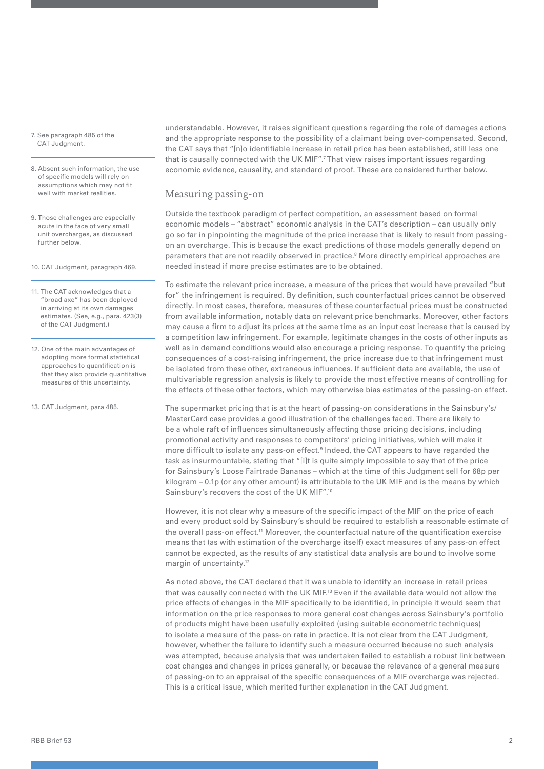7. See paragraph 485 of the CAT Judgment.

8. Absent such information, the use of specific models will rely on assumptions which may not fit well with market realities.

- 9. Those challenges are especially acute in the face of very small unit overcharges, as discussed further below.
- 10. CAT Judgment, paragraph 469.

11. The CAT acknowledges that a "broad axe" has been deployed in arriving at its own damages estimates. (See, e.g., para. 423(3) of the CAT Judgment.)

12. One of the main advantages of adopting more formal statistical approaches to quantification is that they also provide quantitative measures of this uncertainty.

13. CAT Judgment, para 485.

understandable. However, it raises significant questions regarding the role of damages actions and the appropriate response to the possibility of a claimant being over-compensated. Second, the CAT says that "[n]o identifiable increase in retail price has been established, still less one that is causally connected with the UK MIF".7 That view raises important issues regarding economic evidence, causality, and standard of proof. These are considered further below.

#### Measuring passing-on

Outside the textbook paradigm of perfect competition, an assessment based on formal economic models – "abstract" economic analysis in the CAT's description – can usually only go so far in pinpointing the magnitude of the price increase that is likely to result from passingon an overcharge. This is because the exact predictions of those models generally depend on parameters that are not readily observed in practice.<sup>8</sup> More directly empirical approaches are needed instead if more precise estimates are to be obtained.

To estimate the relevant price increase, a measure of the prices that would have prevailed "but for" the infringement is required. By definition, such counterfactual prices cannot be observed directly. In most cases, therefore, measures of these counterfactual prices must be constructed from available information, notably data on relevant price benchmarks. Moreover, other factors may cause a firm to adjust its prices at the same time as an input cost increase that is caused by a competition law infringement. For example, legitimate changes in the costs of other inputs as well as in demand conditions would also encourage a pricing response. To quantify the pricing consequences of a cost-raising infringement, the price increase due to that infringement must be isolated from these other, extraneous influences. If sufficient data are available, the use of multivariable regression analysis is likely to provide the most effective means of controlling for the effects of these other factors, which may otherwise bias estimates of the passing-on effect.

The supermarket pricing that is at the heart of passing-on considerations in the Sainsbury's/ MasterCard case provides a good illustration of the challenges faced. There are likely to be a whole raft of influences simultaneously affecting those pricing decisions, including promotional activity and responses to competitors' pricing initiatives, which will make it more difficult to isolate any pass-on effect.<sup>9</sup> Indeed, the CAT appears to have regarded the task as insurmountable, stating that "[i]t is quite simply impossible to say that of the price for Sainsbury's Loose Fairtrade Bananas – which at the time of this Judgment sell for 68p per kilogram – 0.1p (or any other amount) is attributable to the UK MIF and is the means by which Sainsbury's recovers the cost of the UK MIF".10

However, it is not clear why a measure of the specific impact of the MIF on the price of each and every product sold by Sainsbury's should be required to establish a reasonable estimate of the overall pass-on effect.<sup>11</sup> Moreover, the counterfactual nature of the quantification exercise means that (as with estimation of the overcharge itself) exact measures of any pass-on effect cannot be expected, as the results of any statistical data analysis are bound to involve some margin of uncertainty.<sup>12</sup>

As noted above, the CAT declared that it was unable to identify an increase in retail prices that was causally connected with the UK MIF.13 Even if the available data would not allow the price effects of changes in the MIF specifically to be identified, in principle it would seem that information on the price responses to more general cost changes across Sainsbury's portfolio of products might have been usefully exploited (using suitable econometric techniques) to isolate a measure of the pass-on rate in practice. It is not clear from the CAT Judgment, however, whether the failure to identify such a measure occurred because no such analysis was attempted, because analysis that was undertaken failed to establish a robust link between cost changes and changes in prices generally, or because the relevance of a general measure of passing-on to an appraisal of the specific consequences of a MIF overcharge was rejected. This is a critical issue, which merited further explanation in the CAT Judgment.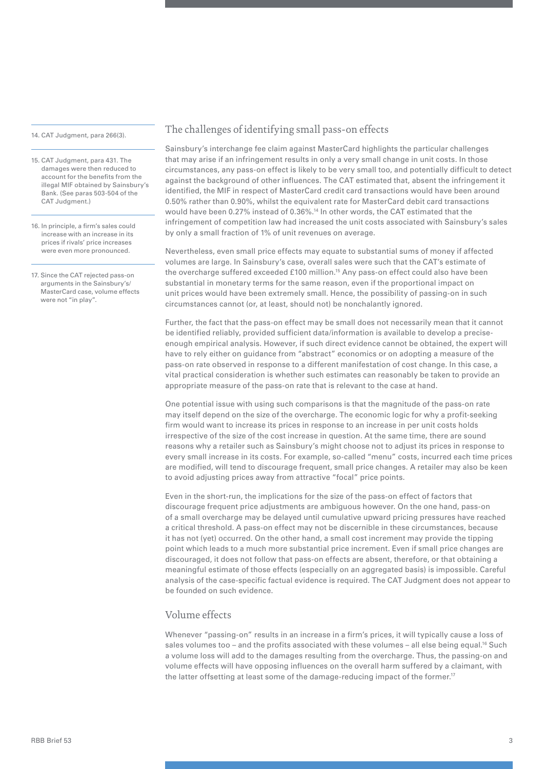14. CAT Judgment, para 266(3).

- 15. CAT Judgment, para 431. The damages were then reduced to account for the benefits from the illegal MIF obtained by Sainsbury's Bank. (See paras 503-504 of the CAT Judgment.)
- 16. In principle, a firm's sales could increase with an increase in its prices if rivals' price increases were even more pronounced.
- 17. Since the CAT rejected pass-on arguments in the Sainsbury's/ MasterCard case, volume effects were not "in play".

#### The challenges of identifying small pass-on effects

Sainsbury's interchange fee claim against MasterCard highlights the particular challenges that may arise if an infringement results in only a very small change in unit costs. In those circumstances, any pass-on effect is likely to be very small too, and potentially difficult to detect against the background of other influences. The CAT estimated that, absent the infringement it identified, the MIF in respect of MasterCard credit card transactions would have been around 0.50% rather than 0.90%, whilst the equivalent rate for MasterCard debit card transactions would have been 0.27% instead of 0.36%.14 In other words, the CAT estimated that the infringement of competition law had increased the unit costs associated with Sainsbury's sales by only a small fraction of 1% of unit revenues on average.

Nevertheless, even small price effects may equate to substantial sums of money if affected volumes are large. In Sainsbury's case, overall sales were such that the CAT's estimate of the overcharge suffered exceeded £100 million.15 Any pass-on effect could also have been substantial in monetary terms for the same reason, even if the proportional impact on unit prices would have been extremely small. Hence, the possibility of passing-on in such circumstances cannot (or, at least, should not) be nonchalantly ignored.

Further, the fact that the pass-on effect may be small does not necessarily mean that it cannot be identified reliably, provided sufficient data/information is available to develop a preciseenough empirical analysis. However, if such direct evidence cannot be obtained, the expert will have to rely either on guidance from "abstract" economics or on adopting a measure of the pass-on rate observed in response to a different manifestation of cost change. In this case, a vital practical consideration is whether such estimates can reasonably be taken to provide an appropriate measure of the pass-on rate that is relevant to the case at hand.

One potential issue with using such comparisons is that the magnitude of the pass-on rate may itself depend on the size of the overcharge. The economic logic for why a profit-seeking firm would want to increase its prices in response to an increase in per unit costs holds irrespective of the size of the cost increase in question. At the same time, there are sound reasons why a retailer such as Sainsbury's might choose not to adjust its prices in response to every small increase in its costs. For example, so-called "menu" costs, incurred each time prices are modified, will tend to discourage frequent, small price changes. A retailer may also be keen to avoid adjusting prices away from attractive "focal" price points.

Even in the short-run, the implications for the size of the pass-on effect of factors that discourage frequent price adjustments are ambiguous however. On the one hand, pass-on of a small overcharge may be delayed until cumulative upward pricing pressures have reached a critical threshold. A pass-on effect may not be discernible in these circumstances, because it has not (yet) occurred. On the other hand, a small cost increment may provide the tipping point which leads to a much more substantial price increment. Even if small price changes are discouraged, it does not follow that pass-on effects are absent, therefore, or that obtaining a meaningful estimate of those effects (especially on an aggregated basis) is impossible. Careful analysis of the case-specific factual evidence is required. The CAT Judgment does not appear to be founded on such evidence.

### Volume effects

Whenever "passing-on" results in an increase in a firm's prices, it will typically cause a loss of sales volumes too – and the profits associated with these volumes – all else being equal.<sup>16</sup> Such a volume loss will add to the damages resulting from the overcharge. Thus, the passing-on and volume effects will have opposing influences on the overall harm suffered by a claimant, with the latter offsetting at least some of the damage-reducing impact of the former.<sup>17</sup>